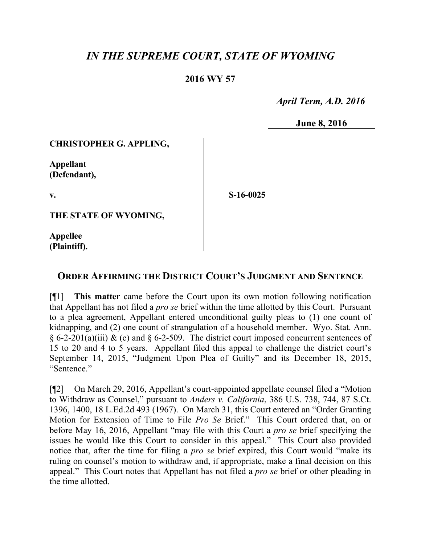# *IN THE SUPREME COURT, STATE OF WYOMING*

# **2016 WY 57**

 *April Term, A.D. 2016*

**June 8, 2016**

#### **CHRISTOPHER G. APPLING,**

**Appellant (Defendant),**

**v.**

**S-16-0025**

**THE STATE OF WYOMING,**

**Appellee (Plaintiff).**

## **ORDER AFFIRMING THE DISTRICT COURT'S JUDGMENT AND SENTENCE**

[¶1] **This matter** came before the Court upon its own motion following notification that Appellant has not filed a *pro se* brief within the time allotted by this Court. Pursuant to a plea agreement, Appellant entered unconditional guilty pleas to (1) one count of kidnapping, and (2) one count of strangulation of a household member. Wyo. Stat. Ann.  $\S 6$ -2-201(a)(iii) & (c) and  $\S 6$ -2-509. The district court imposed concurrent sentences of 15 to 20 and 4 to 5 years. Appellant filed this appeal to challenge the district court's September 14, 2015, "Judgment Upon Plea of Guilty" and its December 18, 2015, "Sentence."

[¶2] On March 29, 2016, Appellant's court-appointed appellate counsel filed a "Motion to Withdraw as Counsel," pursuant to *Anders v. California*, 386 U.S. 738, 744, 87 S.Ct. 1396, 1400, 18 L.Ed.2d 493 (1967). On March 31, this Court entered an "Order Granting Motion for Extension of Time to File *Pro Se* Brief." This Court ordered that, on or before May 16, 2016, Appellant "may file with this Court a *pro se* brief specifying the issues he would like this Court to consider in this appeal." This Court also provided notice that, after the time for filing a *pro se* brief expired, this Court would "make its ruling on counsel's motion to withdraw and, if appropriate, make a final decision on this appeal." This Court notes that Appellant has not filed a *pro se* brief or other pleading in the time allotted.